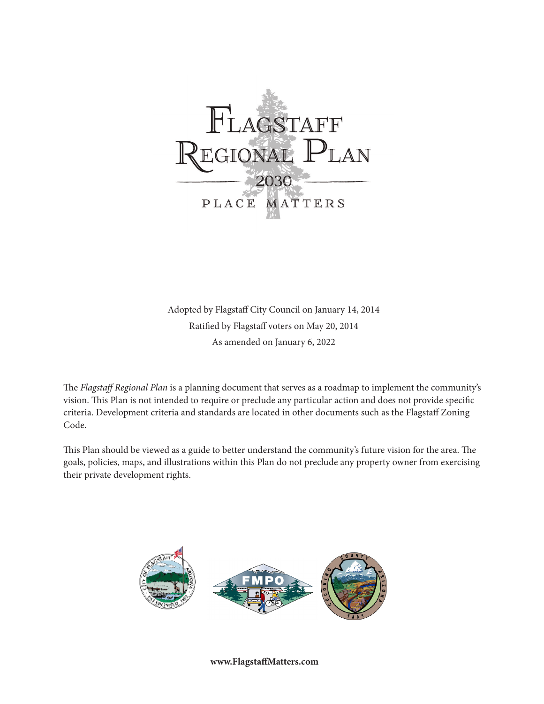

Adopted by Flagstaff City Council on January 14, 2014 Ratified by Flagstaff voters on May 20, 2014 As amended on January 6, 2022

The *Flagstaff Regional Plan* is a planning document that serves as a roadmap to implement the community's vision. This Plan is not intended to require or preclude any particular action and does not provide specific criteria. Development criteria and standards are located in other documents such as the Flagstaff Zoning Code.

This Plan should be viewed as a guide to better understand the community's future vision for the area. The goals, policies, maps, and illustrations within this Plan do not preclude any property owner from exercising their private development rights.



**www.FlagstaffMatters.com**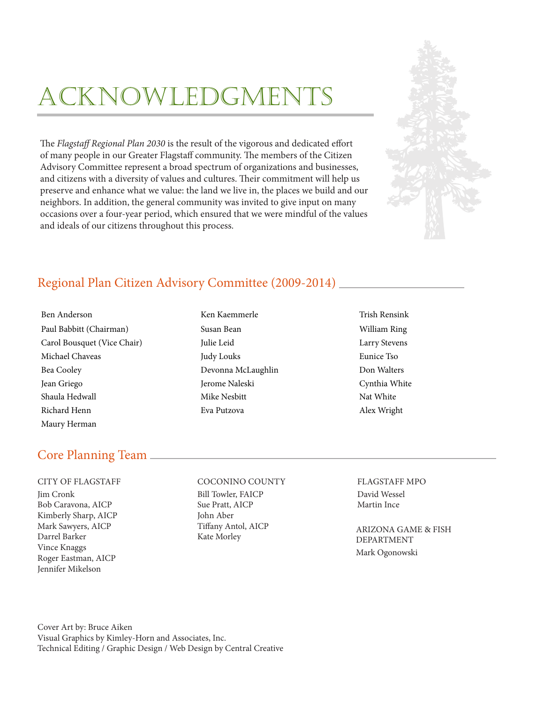## ACKNOWLEDGMENTS

The *Flagstaff Regional Plan 2030* is the result of the vigorous and dedicated effort of many people in our Greater Flagstaff community. The members of the Citizen Advisory Committee represent a broad spectrum of organizations and businesses, and citizens with a diversity of values and cultures. Their commitment will help us preserve and enhance what we value: the land we live in, the places we build and our neighbors. In addition, the general community was invited to give input on many occasions over a four-year period, which ensured that we were mindful of the values and ideals of our citizens throughout this process.



## Regional Plan Citizen Advisory Committee (2009-2014)

Ben Anderson Trish Rensink Ken Kaemmerle Trish Rensink Paul Babbitt (Chairman) Susan Bean William Ring Carol Bousquet (Vice Chair) Julie Leid Larry Stevens Michael Chaveas Judy Louks Eunice Tso Bea Cooley Devonna McLaughlin Don Walters Jean Griego Jerome Naleski Cynthia White Shaula Hedwall **Mike Nesbitt** Mike Nesbitt Nat White Richard Henn Eva Putzova Alex Wright Maury Herman

### Core Planning Team

Jim Cronk Bill Towler, FAICP David Wessel Bob Caravona, AICP Sue Pratt, AICP Martin Ince Kimberly Sharp, AICP John Aber Mark Sawyers, AICP Tiffany Antol, AICP Darrel Barker Kate Morley Vince Knaggs Roger Eastman, AICP Jennifer Mikelson

#### CITY OF FLAGSTAFF COCONINO COUNTY FLAGSTAFF MPO

ARIZONA GAME & FISH DEPARTMENT Mark Ogonowski

Cover Art by: Bruce Aiken Visual Graphics by Kimley-Horn and Associates, Inc. Technical Editing / Graphic Design / Web Design by Central Creative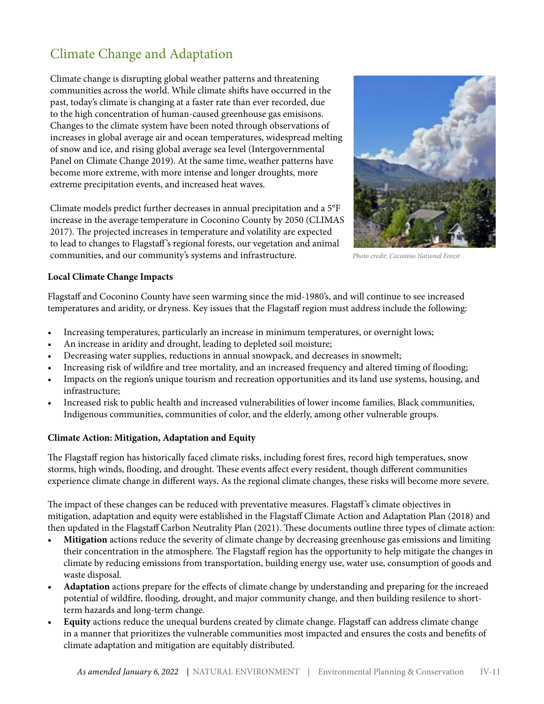## Climate Change and Adaptation

Climate change is disrupting global weather patterns and threatening communities across the world. While climate shifts have occurred in the past, today's climate is changing at a faster rate than ever recorded, due to the high concentration of human-caused greenhouse gas emisisons. Changes to the climate system have been noted through observations of increases in global average air and ocean temperatures, widespread melting of snow and ice, and rising global average sea level (Intergovernmental Panel on Climate Change 2019). At the same time, weather patterns have become more extreme, with more intense and longer droughts, more extreme precipitation events, and increased heat waves.

Climate models predict further decreases in annual precipitation and a 5°F increase in the average temperature in Coconino County by 2050 (CLIMAS 2017). The projected increases in temperature and volatility are expected to lead to changes to Flagstaff 's regional forests, our vegetation and animal communities, and our community's systems and infrastructure. *Photo credit: Coconino National Forest* 



#### **Local Climate Change Impacts**

Flagstaff and Coconino County have seen warming since the mid-1980's, and will continue to see increased temperatures and aridity, or dryness. Key issues that the Flagstaff region must address include the following:

- Increasing temperatures, particularly an increase in minimum temperatures, or overnight lows;
- An increase in aridity and drought, leading to depleted soil moisture;
- Decreasing water supplies, reductions in annual snowpack, and decreases in snowmelt;
- Increasing risk of wildfire and tree mortality, and an increased frequency and altered timing of flooding;
- Impacts on the region's unique tourism and recreation opportunities and its land use systems, housing, and infrastructure;
- Increased risk to public health and increased vulnerabilities of lower income families, Black communities, Indigenous communities, communities of color, and the elderly, among other vulnerable groups.

#### **Climate Action: Mitigation, Adaptation and Equity**

The Flagstaff region has historically faced climate risks, including forest fires, record high temperatues, snow storms, high winds, flooding, and drought. These events affect every resident, though different communities experience climate change in different ways. As the regional climate changes, these risks will become more severe.

The impact of these changes can be reduced with preventative measures. Flagstaff 's climate objectives in mitigation, adaptation and equity were established in the Flagstaff Climate Action and Adaptation Plan (2018) and then updated in the Flagstaff Carbon Neutrality Plan (2021). These documents outline three types of climate action:

- **• Mitigation** actions reduce the severity of climate change by decreasing greenhouse gas emissions and limiting their concentration in the atmosphere. The Flagstaff region has the opportunity to help mitigate the changes in climate by reducing emissions from transportation, building energy use, water use, consumption of goods and waste disposal.
- **• Adaptation** actions prepare for the effects of climate change by understanding and preparing for the increaed potential of wildfire, flooding, drought, and major community change, and then building resilence to shortterm hazards and long-term change.
- **• Equity** actions reduce the unequal burdens created by climate change. Flagstaff can address climate change in a manner that prioritizes the vulnerable communities most impacted and ensures the costs and benefits of climate adaptation and mitigation are equitably distributed.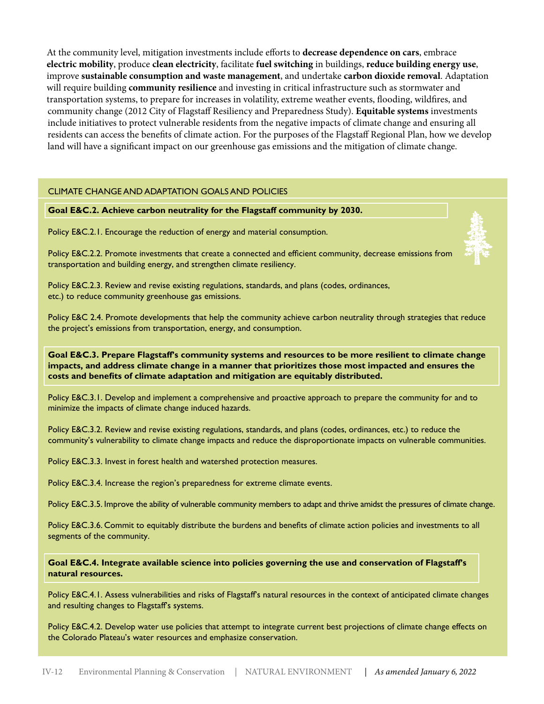At the community level, mitigation investments include efforts to **decrease dependence on cars**, embrace **electric mobility**, produce **clean electricity**, facilitate **fuel switching** in buildings, **reduce building energy use**, improve **sustainable consumption and waste management**, and undertake **carbon dioxide removal**. Adaptation will require building **community resilience** and investing in critical infrastructure such as stormwater and transportation systems, to prepare for increases in volatility, extreme weather events, flooding, wildfires, and community change (2012 City of Flagstaff Resiliency and Preparedness Study). **Equitable systems** investments include initiatives to protect vulnerable residents from the negative impacts of climate change and ensuring all residents can access the benefits of climate action. For the purposes of the Flagstaff Regional Plan, how we develop land will have a significant impact on our greenhouse gas emissions and the mitigation of climate change.

#### CLIMATE CHANGE AND ADAPTATION GOALS AND POLICIES

#### **Goal E&C.2. Achieve carbon neutrality for the Flagstaff community by 2030.**

Policy E&C.2.1. Encourage the reduction of energy and material consumption.



Policy E&C.2.2. Promote investments that create a connected and efficient community, decrease emissions from transportation and building energy, and strengthen climate resiliency.

Policy E&C.2.3. Review and revise existing regulations, standards, and plans (codes, ordinances, etc.) to reduce community greenhouse gas emissions.

Policy E&C 2.4. Promote developments that help the community achieve carbon neutrality through strategies that reduce the project's emissions from transportation, energy, and consumption.

**Goal E&C.3. Prepare Flagstaff's community systems and resources to be more resilient to climate change impacts, and address climate change in a manner that prioritizes those most impacted and ensures the costs and benefits of climate adaptation and mitigation are equitably distributed.** 

Policy E&C.3.1. Develop and implement a comprehensive and proactive approach to prepare the community for and to minimize the impacts of climate change induced hazards.

Policy E&C.3.2. Review and revise existing regulations, standards, and plans (codes, ordinances, etc.) to reduce the community's vulnerability to climate change impacts and reduce the disproportionate impacts on vulnerable communities.

Policy E&C.3.3. Invest in forest health and watershed protection measures.

Policy E&C.3.4. Increase the region's preparedness for extreme climate events.

Policy E&C.3.5. Improve the ability of vulnerable community members to adapt and thrive amidst the pressures of climate change.

Policy E&C.3.6. Commit to equitably distribute the burdens and benefits of climate action policies and investments to all segments of the community.

**Goal E&C.4. Integrate available science into policies governing the use and conservation of Flagstaff's natural resources.** 

Policy E&C.4.1. Assess vulnerabilities and risks of Flagstaff's natural resources in the context of anticipated climate changes and resulting changes to Flagstaff's systems.

Policy E&C.4.2. Develop water use policies that attempt to integrate current best projections of climate change effects on the Colorado Plateau's water resources and emphasize conservation.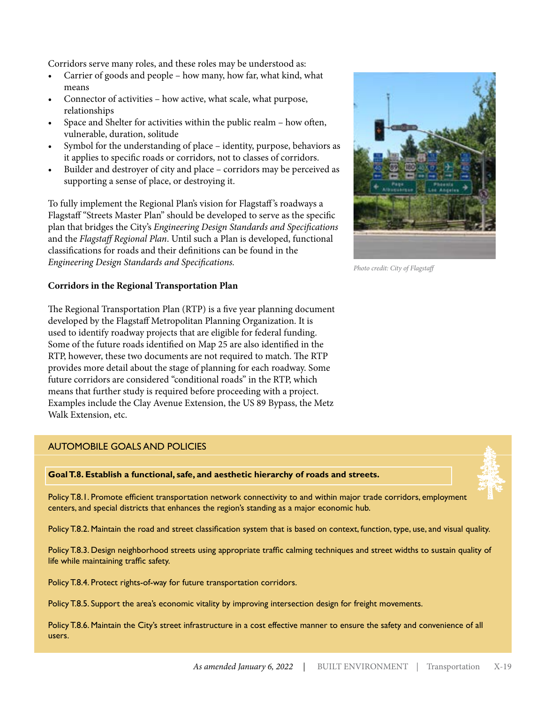Corridors serve many roles, and these roles may be understood as:

- Carrier of goods and people how many, how far, what kind, what means
- Connector of activities how active, what scale, what purpose, relationships
- Space and Shelter for activities within the public realm how often, vulnerable, duration, solitude
- Symbol for the understanding of place identity, purpose, behaviors as it applies to specific roads or corridors, not to classes of corridors.
- Builder and destroyer of city and place corridors may be perceived as supporting a sense of place, or destroying it.

To fully implement the Regional Plan's vision for Flagstaff 's roadways a Flagstaff "Streets Master Plan" should be developed to serve as the specific plan that bridges the City's *Engineering Design Standards and Specifications*  and the *Flagstaff Regional Plan*. Until such a Plan is developed, functional classifications for roads and their definitions can be found in the *Engineering Design Standards and Specifications.*

#### **Corridors in the Regional Transportation Plan**

The Regional Transportation Plan (RTP) is a five year planning document developed by the Flagstaff Metropolitan Planning Organization. It is used to identify roadway projects that are eligible for federal funding. Some of the future roads identified on Map 25 are also identified in the RTP, however, these two documents are not required to match. The RTP provides more detail about the stage of planning for each roadway. Some future corridors are considered "conditional roads" in the RTP, which means that further study is required before proceeding with a project. Examples include the Clay Avenue Extension, the US 89 Bypass, the Metz Walk Extension, etc.

#### AUTOMOBILE GOALS AND POLICIES

**Goal T.8. Establish a functional, safe, and aesthetic hierarchy of roads and streets.** 

Policy T.8.1. Promote efficient transportation network connectivity to and within major trade corridors, employment centers, and special districts that enhances the region's standing as a major economic hub.

Policy T.8.2. Maintain the road and street classification system that is based on context, function, type, use, and visual quality.

Policy T.8.3. Design neighborhood streets using appropriate traffic calming techniques and street widths to sustain quality of life while maintaining traffic safety.

Policy T.8.4. Protect rights-of-way for future transportation corridors.

Policy T.8.5. Support the area's economic vitality by improving intersection design for freight movements.

Policy T.8.6. Maintain the City's street infrastructure in a cost effective manner to ensure the safety and convenience of all users.



*Photo credit: City of Flagstaff*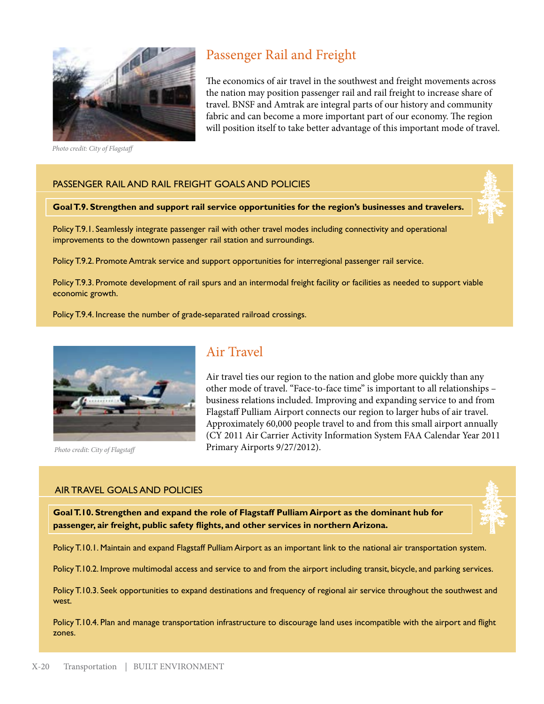

 *Photo credit: City of Flagstaff*

## Passenger Rail and Freight

The economics of air travel in the southwest and freight movements across the nation may position passenger rail and rail freight to increase share of travel. BNSF and Amtrak are integral parts of our history and community fabric and can become a more important part of our economy. The region will position itself to take better advantage of this important mode of travel.

### PASSENGER RAIL AND RAIL FREIGHT GOALS AND POLICIES

#### **Goal T.9. Strengthen and support rail service opportunities for the region's businesses and travelers.**

Policy T.9.1. Seamlessly integrate passenger rail with other travel modes including connectivity and operational improvements to the downtown passenger rail station and surroundings.

Policy T.9.2. Promote Amtrak service and support opportunities for interregional passenger rail service.

Policy T.9.3. Promote development of rail spurs and an intermodal freight facility or facilities as needed to support viable economic growth.

Policy T.9.4. Increase the number of grade-separated railroad crossings.



*Photo credit: City of Flagstaff*

## Air Travel

Air travel ties our region to the nation and globe more quickly than any other mode of travel. "Face-to-face time" is important to all relationships – business relations included. Improving and expanding service to and from Flagstaff Pulliam Airport connects our region to larger hubs of air travel. Approximately 60,000 people travel to and from this small airport annually (CY 2011 Air Carrier Activity Information System FAA Calendar Year 2011 Primary Airports 9/27/2012).

#### AIR TRAVEL GOALS AND POLICIES

**Goal T.10. Strengthen and expand the role of Flagstaff Pulliam Airport as the dominant hub for passenger, air freight, public safety flights, and other services in northern Arizona.** 

Policy T.10.1. Maintain and expand Flagstaff Pulliam Airport as an important link to the national air transportation system.

Policy T.10.2. Improve multimodal access and service to and from the airport including transit, bicycle, and parking services.

Policy T.10.3. Seek opportunities to expand destinations and frequency of regional air service throughout the southwest and west.

Policy T.10.4. Plan and manage transportation infrastructure to discourage land uses incompatible with the airport and flight zones.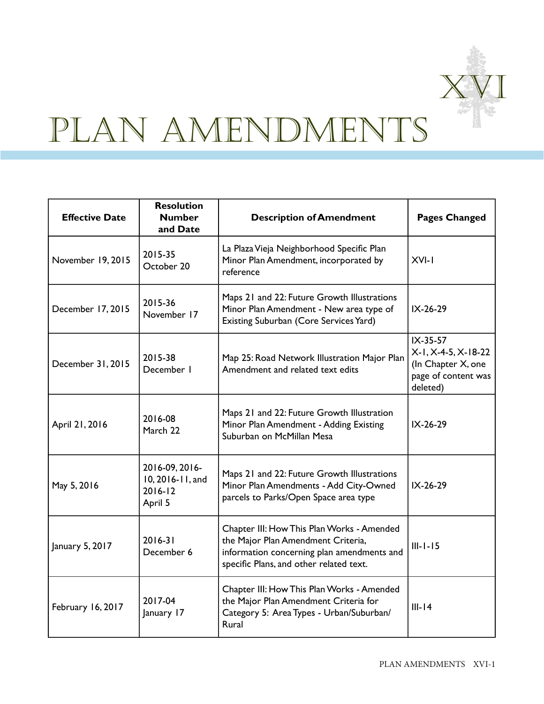

# PLAN AMENDMENTS

| <b>Effective Date</b> | <b>Resolution</b><br><b>Number</b><br>and Date               | <b>Description of Amendment</b>                                                                                                                                           | <b>Pages Changed</b>                                                                     |
|-----------------------|--------------------------------------------------------------|---------------------------------------------------------------------------------------------------------------------------------------------------------------------------|------------------------------------------------------------------------------------------|
| November 19, 2015     | 2015-35<br>October 20                                        | La Plaza Vieja Neighborhood Specific Plan<br>Minor Plan Amendment, incorporated by<br>reference                                                                           | $XVI-I$                                                                                  |
| December 17, 2015     | 2015-36<br>November 17                                       | Maps 21 and 22: Future Growth Illustrations<br>Minor Plan Amendment - New area type of<br>Existing Suburban (Core Services Yard)                                          | IX-26-29                                                                                 |
| December 31, 2015     | 2015-38<br>December I                                        | Map 25: Road Network Illustration Major Plan<br>Amendment and related text edits                                                                                          | IX-35-57<br>X-1, X-4-5, X-18-22<br>(In Chapter X, one<br>page of content was<br>deleted) |
| April 21, 2016        | 2016-08<br>March 22                                          | Maps 21 and 22: Future Growth Illustration<br>Minor Plan Amendment - Adding Existing<br>Suburban on McMillan Mesa                                                         | IX-26-29                                                                                 |
| May 5, 2016           | 2016-09, 2016-<br>10, 2016-11, and<br>$2016 - 12$<br>April 5 | Maps 21 and 22: Future Growth Illustrations<br>Minor Plan Amendments - Add City-Owned<br>parcels to Parks/Open Space area type                                            | IX-26-29                                                                                 |
| January 5, 2017       | $2016 - 31$<br>December 6                                    | Chapter III: How This Plan Works - Amended<br>the Major Plan Amendment Criteria,<br>information concerning plan amendments and<br>specific Plans, and other related text. | $III - I - I5$                                                                           |
| February 16, 2017     | 2017-04<br>January 17                                        | Chapter III: How This Plan Works - Amended<br>the Major Plan Amendment Criteria for<br>Category 5: Area Types - Urban/Suburban/<br>Rural                                  | $III-14$                                                                                 |